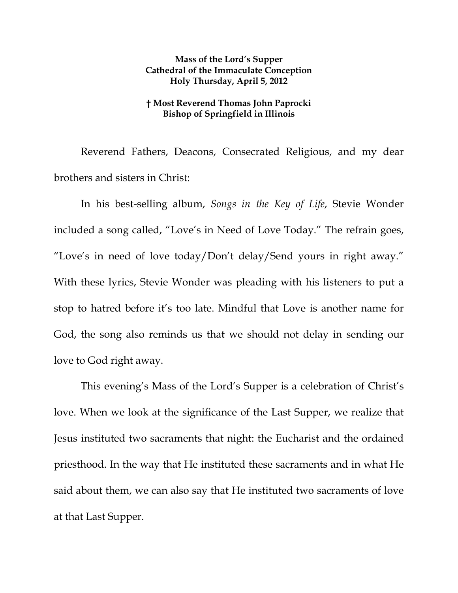## **Mass of the Lord's Supper Cathedral of the Immaculate Conception Holy Thursday, April 5, 2012**

## **† Most Reverend Thomas John Paprocki Bishop of Springfield in Illinois**

Reverend Fathers, Deacons, Consecrated Religious, and my dear brothers and sisters in Christ:

 In his best-selling album, *Songs in the Key of Life*, Stevie Wonder included a song called, "Love's in Need of Love Today." The refrain goes, "Love's in need of love today/Don't delay/Send yours in right away." With these lyrics, Stevie Wonder was pleading with his listeners to put a stop to hatred before it's too late. Mindful that Love is another name for God, the song also reminds us that we should not delay in sending our love to God right away.

 This evening's Mass of the Lord's Supper is a celebration of Christ's love. When we look at the significance of the Last Supper, we realize that Jesus instituted two sacraments that night: the Eucharist and the ordained priesthood. In the way that He instituted these sacraments and in what He said about them, we can also say that He instituted two sacraments of love at that Last Supper.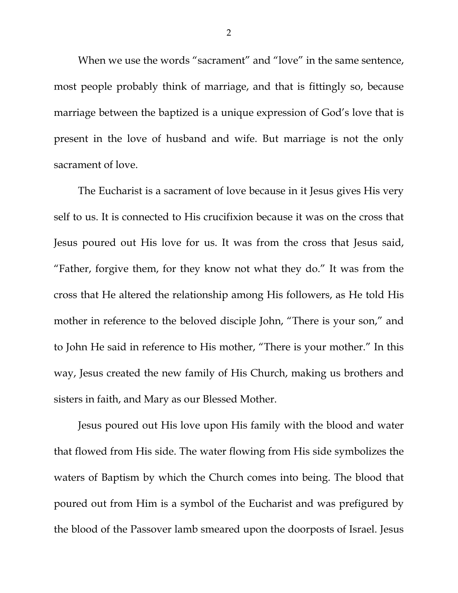When we use the words "sacrament" and "love" in the same sentence, most people probably think of marriage, and that is fittingly so, because marriage between the baptized is a unique expression of God's love that is present in the love of husband and wife. But marriage is not the only sacrament of love.

The Eucharist is a sacrament of love because in it Jesus gives His very self to us. It is connected to His crucifixion because it was on the cross that Jesus poured out His love for us. It was from the cross that Jesus said, "Father, forgive them, for they know not what they do." It was from the cross that He altered the relationship among His followers, as He told His mother in reference to the beloved disciple John, "There is your son," and to John He said in reference to His mother, "There is your mother." In this way, Jesus created the new family of His Church, making us brothers and sisters in faith, and Mary as our Blessed Mother.

Jesus poured out His love upon His family with the blood and water that flowed from His side. The water flowing from His side symbolizes the waters of Baptism by which the Church comes into being. The blood that poured out from Him is a symbol of the Eucharist and was prefigured by the blood of the Passover lamb smeared upon the doorposts of Israel. Jesus

2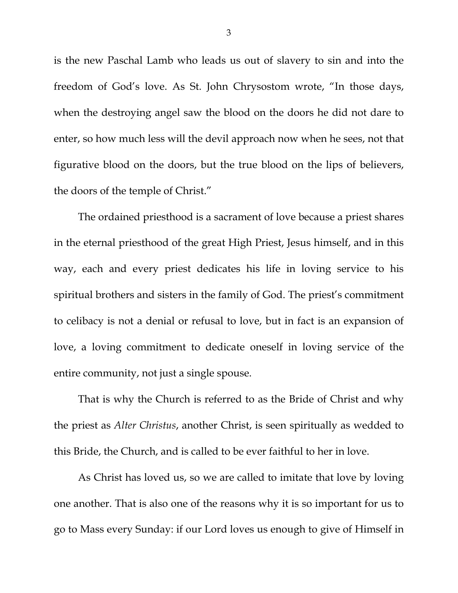is the new Paschal Lamb who leads us out of slavery to sin and into the freedom of God's love. As St. John Chrysostom wrote, "In those days, when the destroying angel saw the blood on the doors he did not dare to enter, so how much less will the devil approach now when he sees, not that figurative blood on the doors, but the true blood on the lips of believers, the doors of the temple of Christ."

The ordained priesthood is a sacrament of love because a priest shares in the eternal priesthood of the great High Priest, Jesus himself, and in this way, each and every priest dedicates his life in loving service to his spiritual brothers and sisters in the family of God. The priest's commitment to celibacy is not a denial or refusal to love, but in fact is an expansion of love, a loving commitment to dedicate oneself in loving service of the entire community, not just a single spouse.

That is why the Church is referred to as the Bride of Christ and why the priest as *Alter Christus*, another Christ, is seen spiritually as wedded to this Bride, the Church, and is called to be ever faithful to her in love.

As Christ has loved us, so we are called to imitate that love by loving one another. That is also one of the reasons why it is so important for us to go to Mass every Sunday: if our Lord loves us enough to give of Himself in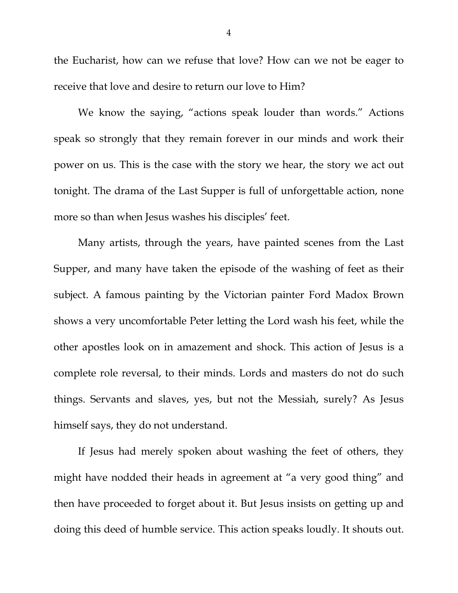the Eucharist, how can we refuse that love? How can we not be eager to receive that love and desire to return our love to Him?

We know the saying, "actions speak louder than words." Actions speak so strongly that they remain forever in our minds and work their power on us. This is the case with the story we hear, the story we act out tonight. The drama of the Last Supper is full of unforgettable action, none more so than when Jesus washes his disciples' feet.

Many artists, through the years, have painted scenes from the Last Supper, and many have taken the episode of the washing of feet as their subject. A famous painting by the Victorian painter Ford Madox Brown shows a very uncomfortable Peter letting the Lord wash his feet, while the other apostles look on in amazement and shock. This action of Jesus is a complete role reversal, to their minds. Lords and masters do not do such things. Servants and slaves, yes, but not the Messiah, surely? As Jesus himself says, they do not understand.

If Jesus had merely spoken about washing the feet of others, they might have nodded their heads in agreement at "a very good thing" and then have proceeded to forget about it. But Jesus insists on getting up and doing this deed of humble service. This action speaks loudly. It shouts out.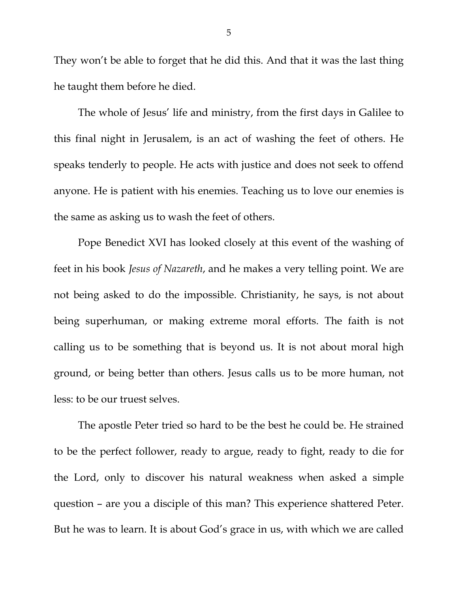They won't be able to forget that he did this. And that it was the last thing he taught them before he died.

The whole of Jesus' life and ministry, from the first days in Galilee to this final night in Jerusalem, is an act of washing the feet of others. He speaks tenderly to people. He acts with justice and does not seek to offend anyone. He is patient with his enemies. Teaching us to love our enemies is the same as asking us to wash the feet of others.

Pope Benedict XVI has looked closely at this event of the washing of feet in his book *Jesus of Nazareth*, and he makes a very telling point. We are not being asked to do the impossible. Christianity, he says, is not about being superhuman, or making extreme moral efforts. The faith is not calling us to be something that is beyond us. It is not about moral high ground, or being better than others. Jesus calls us to be more human, not less: to be our truest selves.

The apostle Peter tried so hard to be the best he could be. He strained to be the perfect follower, ready to argue, ready to fight, ready to die for the Lord, only to discover his natural weakness when asked a simple question – are you a disciple of this man? This experience shattered Peter. But he was to learn. It is about God's grace in us, with which we are called